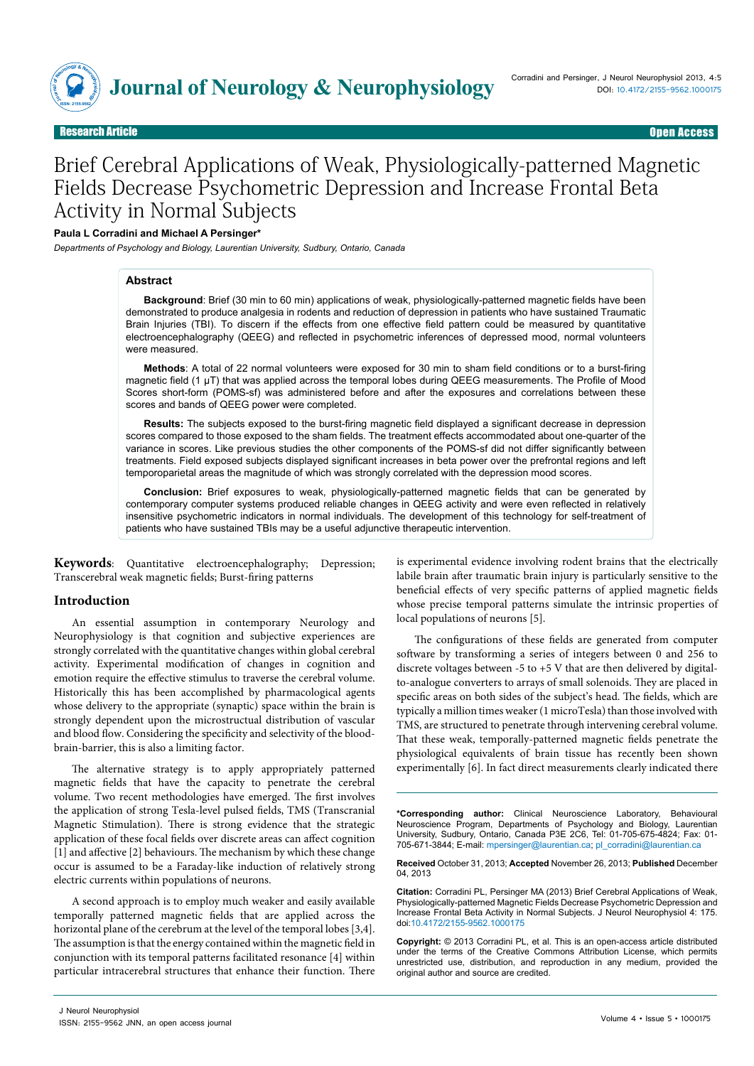

**Bearch Article** 

# Brief Cerebral Applications of Weak, Physiologically-patterned Magnetic Fields Decrease Psychometric Depression and Increase Frontal Beta Activity in Normal Subjects

## **Paula L Corradini and Michael A Persinger\***

*Departments of Psychology and Biology, Laurentian University, Sudbury, Ontario, Canada*

#### **Abstract**

**Background**: Brief (30 min to 60 min) applications of weak, physiologically-patterned magnetic fields have been demonstrated to produce analgesia in rodents and reduction of depression in patients who have sustained Traumatic Brain Injuries (TBI). To discern if the effects from one effective field pattern could be measured by quantitative electroencephalography (QEEG) and reflected in psychometric inferences of depressed mood, normal volunteers were measured.

**Methods**: A total of 22 normal volunteers were exposed for 30 min to sham field conditions or to a burst-firing magnetic field (1 µT) that was applied across the temporal lobes during QEEG measurements. The Profile of Mood Scores short-form (POMS-sf) was administered before and after the exposures and correlations between these scores and bands of QEEG power were completed.

**Results:** The subjects exposed to the burst-firing magnetic field displayed a significant decrease in depression scores compared to those exposed to the sham fields. The treatment effects accommodated about one-quarter of the variance in scores. Like previous studies the other components of the POMS-sf did not differ significantly between treatments. Field exposed subjects displayed significant increases in beta power over the prefrontal regions and left temporoparietal areas the magnitude of which was strongly correlated with the depression mood scores.

**Conclusion:** Brief exposures to weak, physiologically-patterned magnetic fields that can be generated by contemporary computer systems produced reliable changes in QEEG activity and were even reflected in relatively insensitive psychometric indicators in normal individuals. The development of this technology for self-treatment of patients who have sustained TBIs may be a useful adjunctive therapeutic intervention.

**Keywords**: Quantitative electroencephalography; Depression; Transcerebral weak magnetic fields; Burst-firing patterns

### **Introduction**

An essential assumption in contemporary Neurology and Neurophysiology is that cognition and subjective experiences are strongly correlated with the quantitative changes within global cerebral activity. Experimental modification of changes in cognition and emotion require the effective stimulus to traverse the cerebral volume. Historically this has been accomplished by pharmacological agents whose delivery to the appropriate (synaptic) space within the brain is strongly dependent upon the microstructual distribution of vascular and blood flow. Considering the specificity and selectivity of the bloodbrain-barrier, this is also a limiting factor.

The alternative strategy is to apply appropriately patterned magnetic fields that have the capacity to penetrate the cerebral volume. Two recent methodologies have emerged. The first involves the application of strong Tesla-level pulsed fields, TMS (Transcranial Magnetic Stimulation). There is strong evidence that the strategic application of these focal fields over discrete areas can affect cognition [1] and affective [2] behaviours. The mechanism by which these change occur is assumed to be a Faraday-like induction of relatively strong electric currents within populations of neurons.

A second approach is to employ much weaker and easily available temporally patterned magnetic fields that are applied across the horizontal plane of the cerebrum at the level of the temporal lobes [3,4]. The assumption is that the energy contained within the magnetic field in conjunction with its temporal patterns facilitated resonance [4] within particular intracerebral structures that enhance their function. There

is experimental evidence involving rodent brains that the electrically labile brain after traumatic brain injury is particularly sensitive to the beneficial effects of very specific patterns of applied magnetic fields whose precise temporal patterns simulate the intrinsic properties of local populations of neurons [5].

The configurations of these fields are generated from computer software by transforming a series of integers between 0 and 256 to discrete voltages between  $-5$  to  $+5$  V that are then delivered by digitalto-analogue converters to arrays of small solenoids. They are placed in specific areas on both sides of the subject's head. The fields, which are typically a million times weaker (1 microTesla) than those involved with TMS, are structured to penetrate through intervening cerebral volume. That these weak, temporally-patterned magnetic fields penetrate the physiological equivalents of brain tissue has recently been shown experimentally [6]. In fact direct measurements clearly indicated there

**\*Corresponding author:** Clinical Neuroscience Laboratory, Behavioural Neuroscience Program, Departments of Psychology and Biology, Laurentian University, Sudbury, Ontario, Canada P3E 2C6, Tel: 01-705-675-4824; Fax: 01- 705-671-3844; E-mail: mpersinger@laurentian.ca; pl\_corradini@laurentian.ca

**Received** October 31, 2013; **Accepted** November 26, 2013; **Published** December 04, 2013

**Citation:** Corradini PL, Persinger MA (2013) Brief Cerebral Applications of Weak, Physiologically-patterned Magnetic Fields Decrease Psychometric Depression and Increase Frontal Beta Activity in Normal Subjects. J Neurol Neurophysiol 4: 175. doi:10.4172/2155-9562.1000175

**Copyright:** © 2013 Corradini PL, et al. This is an open-access article distributed under the terms of the Creative Commons Attribution License, which permits unrestricted use, distribution, and reproduction in any medium, provided the original author and source are credited.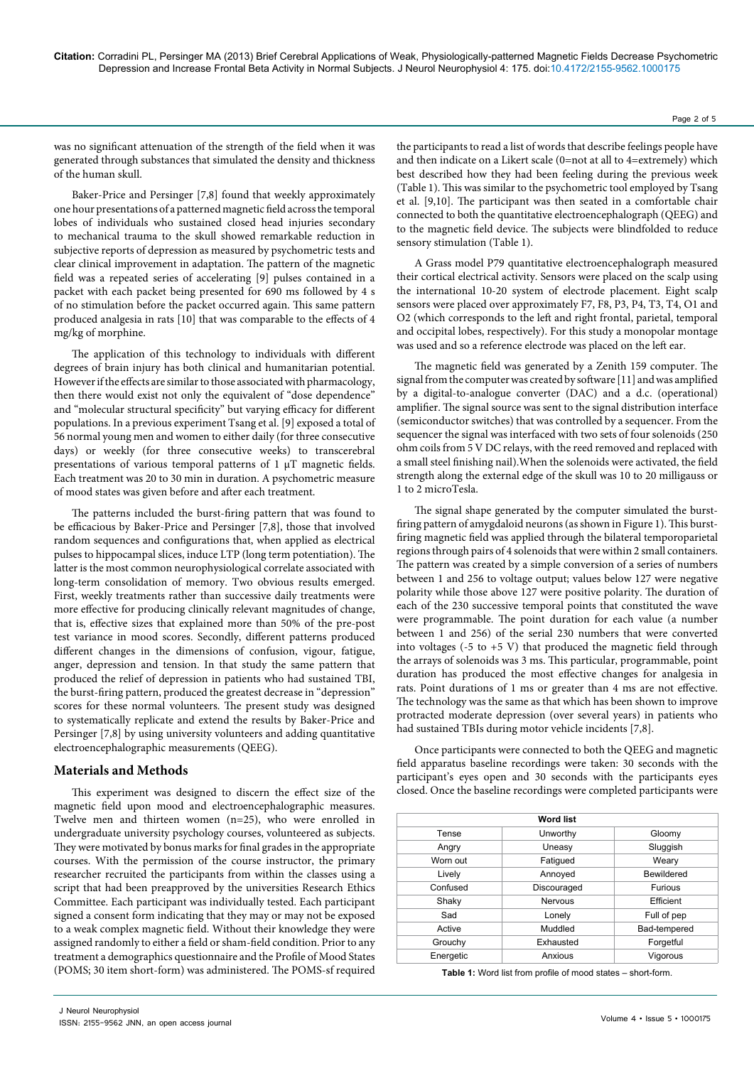was no significant attenuation of the strength of the field when it was generated through substances that simulated the density and thickness of the human skull.

Baker-Price and Persinger [7,8] found that weekly approximately one hour presentations of a patterned magnetic field across the temporal lobes of individuals who sustained closed head injuries secondary to mechanical trauma to the skull showed remarkable reduction in subjective reports of depression as measured by psychometric tests and clear clinical improvement in adaptation. The pattern of the magnetic field was a repeated series of accelerating [9] pulses contained in a packet with each packet being presented for 690 ms followed by 4 s of no stimulation before the packet occurred again. This same pattern produced analgesia in rats [10] that was comparable to the effects of 4 mg/kg of morphine.

The application of this technology to individuals with different degrees of brain injury has both clinical and humanitarian potential. However if the effects are similar to those associated with pharmacology, then there would exist not only the equivalent of "dose dependence" and "molecular structural specificity" but varying efficacy for different populations. In a previous experiment Tsang et al. [9] exposed a total of 56 normal young men and women to either daily (for three consecutive days) or weekly (for three consecutive weeks) to transcerebral presentations of various temporal patterns of 1 µT magnetic fields. Each treatment was 20 to 30 min in duration. A psychometric measure of mood states was given before and after each treatment.

The patterns included the burst-firing pattern that was found to be efficacious by Baker-Price and Persinger [7,8], those that involved random sequences and configurations that, when applied as electrical pulses to hippocampal slices, induce LTP (long term potentiation). The latter is the most common neurophysiological correlate associated with long-term consolidation of memory. Two obvious results emerged. First, weekly treatments rather than successive daily treatments were more effective for producing clinically relevant magnitudes of change, that is, effective sizes that explained more than 50% of the pre-post test variance in mood scores. Secondly, different patterns produced different changes in the dimensions of confusion, vigour, fatigue, anger, depression and tension. In that study the same pattern that produced the relief of depression in patients who had sustained TBI, the burst-firing pattern, produced the greatest decrease in "depression" scores for these normal volunteers. The present study was designed to systematically replicate and extend the results by Baker-Price and Persinger [7,8] by using university volunteers and adding quantitative electroencephalographic measurements (QEEG).

## **Materials and Methods**

This experiment was designed to discern the effect size of the magnetic field upon mood and electroencephalographic measures. Twelve men and thirteen women (n=25), who were enrolled in undergraduate university psychology courses, volunteered as subjects. They were motivated by bonus marks for final grades in the appropriate courses. With the permission of the course instructor, the primary researcher recruited the participants from within the classes using a script that had been preapproved by the universities Research Ethics Committee. Each participant was individually tested. Each participant signed a consent form indicating that they may or may not be exposed to a weak complex magnetic field. Without their knowledge they were assigned randomly to either a field or sham-field condition. Prior to any treatment a demographics questionnaire and the Profile of Mood States (POMS; 30 item short-form) was administered. The POMS-sf required the participants to read a list of words that describe feelings people have and then indicate on a Likert scale (0=not at all to 4=extremely) which best described how they had been feeling during the previous week (Table 1). This was similar to the psychometric tool employed by Tsang et al. [9,10]. The participant was then seated in a comfortable chair connected to both the quantitative electroencephalograph (QEEG) and to the magnetic field device. The subjects were blindfolded to reduce sensory stimulation (Table 1).

A Grass model P79 quantitative electroencephalograph measured their cortical electrical activity. Sensors were placed on the scalp using the international 10-20 system of electrode placement. Eight scalp sensors were placed over approximately F7, F8, P3, P4, T3, T4, O1 and O2 (which corresponds to the left and right frontal, parietal, temporal and occipital lobes, respectively). For this study a monopolar montage was used and so a reference electrode was placed on the left ear.

The magnetic field was generated by a Zenith 159 computer. The signal from the computer was created by software [11] and was amplified by a digital-to-analogue converter (DAC) and a d.c. (operational) amplifier. The signal source was sent to the signal distribution interface (semiconductor switches) that was controlled by a sequencer. From the sequencer the signal was interfaced with two sets of four solenoids (250 ohm coils from 5 V DC relays, with the reed removed and replaced with a small steel finishing nail).When the solenoids were activated, the field strength along the external edge of the skull was 10 to 20 milligauss or 1 to 2 microTesla.

The signal shape generated by the computer simulated the burstfiring pattern of amygdaloid neurons (as shown in Figure 1). This burstfiring magnetic field was applied through the bilateral temporoparietal regions through pairs of 4 solenoids that were within 2 small containers. The pattern was created by a simple conversion of a series of numbers between 1 and 256 to voltage output; values below 127 were negative polarity while those above 127 were positive polarity. The duration of each of the 230 successive temporal points that constituted the wave were programmable. The point duration for each value (a number between 1 and 256) of the serial 230 numbers that were converted into voltages (-5 to  $+5$  V) that produced the magnetic field through the arrays of solenoids was 3 ms. This particular, programmable, point duration has produced the most effective changes for analgesia in rats. Point durations of 1 ms or greater than 4 ms are not effective. The technology was the same as that which has been shown to improve protracted moderate depression (over several years) in patients who had sustained TBIs during motor vehicle incidents [7,8].

Once participants were connected to both the QEEG and magnetic field apparatus baseline recordings were taken: 30 seconds with the participant's eyes open and 30 seconds with the participants eyes closed. Once the baseline recordings were completed participants were

| <b>Word list</b> |                |              |
|------------------|----------------|--------------|
| Tense            | Unworthy       | Gloomy       |
| Angry            | Uneasy         | Sluggish     |
| Worn out         | Fatigued       | Weary        |
| Lively           | Annoved        | Bewildered   |
| Confused         | Discouraged    | Furious      |
| Shaky            | <b>Nervous</b> | Efficient    |
| Sad              | Lonely         | Full of pep  |
| Active           | Muddled        | Bad-tempered |
| Grouchy          | Exhausted      | Forgetful    |
| Energetic        | Anxious        | Vigorous     |

**Table 1:** Word list from profile of mood states – short-form.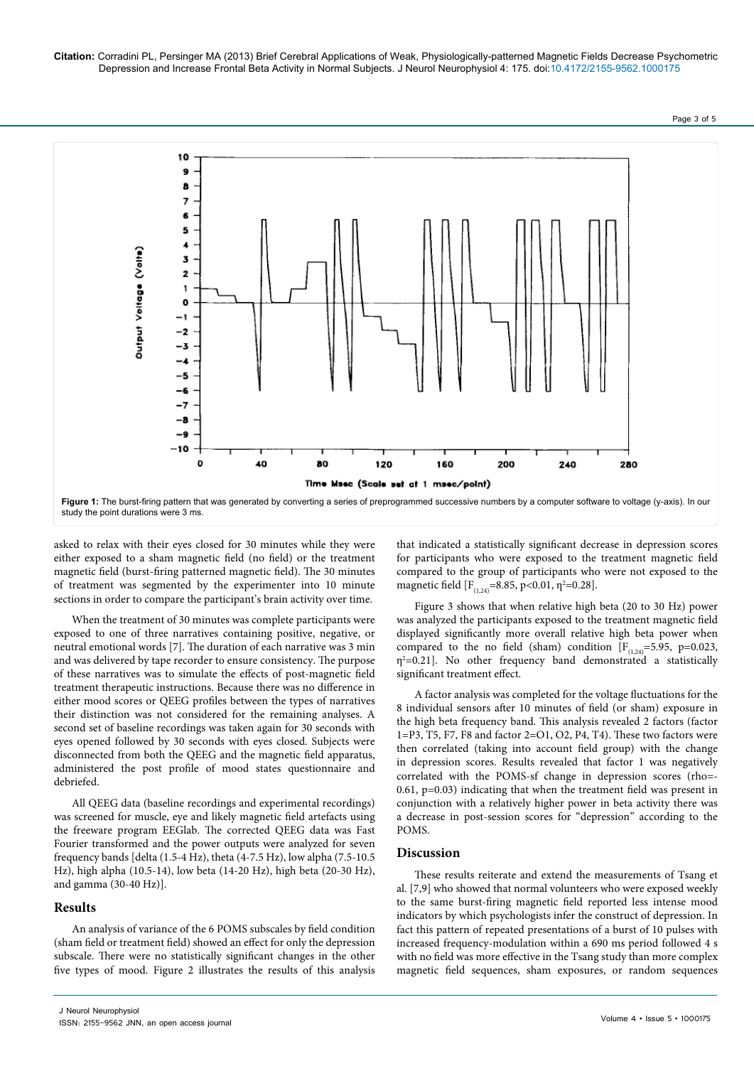**Citation:** Corradini PL, Persinger MA (2013) Brief Cerebral Applications of Weak, Physiologically-patterned Magnetic Fields Decrease Psychometric Depression and Increase Frontal Beta Activity in Normal Subjects. J Neurol Neurophysiol 4: 175. doi:10.4172/2155-9562.1000175

Page 3 of 5



asked to relax with their eyes closed for 30 minutes while they were either exposed to a sham magnetic field (no field) or the treatment magnetic field (burst-firing patterned magnetic field). The 30 minutes of treatment was segmented by the experimenter into 10 minute sections in order to compare the participant's brain activity over time.

When the treatment of 30 minutes was complete participants were exposed to one of three narratives containing positive, negative, or neutral emotional words [7]. The duration of each narrative was 3 min and was delivered by tape recorder to ensure consistency. The purpose of these narratives was to simulate the effects of post-magnetic field treatment therapeutic instructions. Because there was no difference in either mood scores or QEEG profiles between the types of narratives their distinction was not considered for the remaining analyses. A second set of baseline recordings was taken again for 30 seconds with eyes opened followed by 30 seconds with eyes closed. Subjects were disconnected from both the QEEG and the magnetic field apparatus, administered the post profile of mood states questionnaire and debriefed.

All QEEG data (baseline recordings and experimental recordings) was screened for muscle, eye and likely magnetic field artefacts using the freeware program EEGlab. The corrected QEEG data was Fast Fourier transformed and the power outputs were analyzed for seven frequency bands [delta (1.5-4 Hz), theta (4-7.5 Hz), low alpha (7.5-10.5 Hz), high alpha (10.5-14), low beta (14-20 Hz), high beta (20-30 Hz), and gamma (30-40 Hz)].

### **Results**

An analysis of variance of the 6 POMS subscales by field condition (sham field or treatment field) showed an effect for only the depression subscale. There were no statistically significant changes in the other five types of mood. Figure 2 illustrates the results of this analysis that indicated a statistically significant decrease in depression scores for participants who were exposed to the treatment magnetic field compared to the group of participants who were not exposed to the magnetic field  $[F_{(1,24)}=8.85, p<0.01, \eta^2=0.28]$ .

Figure 3 shows that when relative high beta (20 to 30 Hz) power was analyzed the participants exposed to the treatment magnetic field displayed significantly more overall relative high beta power when compared to the no field (sham) condition  $[F_{(1,24)}=5.95, p=0.023,$  $\eta^2$ =0.21]. No other frequency band demonstrated a statistically significant treatment effect.

A factor analysis was completed for the voltage fluctuations for the 8 individual sensors after 10 minutes of field (or sham) exposure in the high beta frequency band. This analysis revealed 2 factors (factor 1=P3, T5, F7, F8 and factor 2=O1, O2, P4, T4). These two factors were then correlated (taking into account field group) with the change in depression scores. Results revealed that factor 1 was negatively correlated with the POMS-sf change in depression scores (rho=- 0.61, p=0.03) indicating that when the treatment field was present in conjunction with a relatively higher power in beta activity there was a decrease in post-session scores for "depression" according to the POMS.

## **Discussion**

These results reiterate and extend the measurements of Tsang et al. [7,9] who showed that normal volunteers who were exposed weekly to the same burst-firing magnetic field reported less intense mood indicators by which psychologists infer the construct of depression. In fact this pattern of repeated presentations of a burst of 10 pulses with increased frequency-modulation within a 690 ms period followed 4 s with no field was more effective in the Tsang study than more complex magnetic field sequences, sham exposures, or random sequences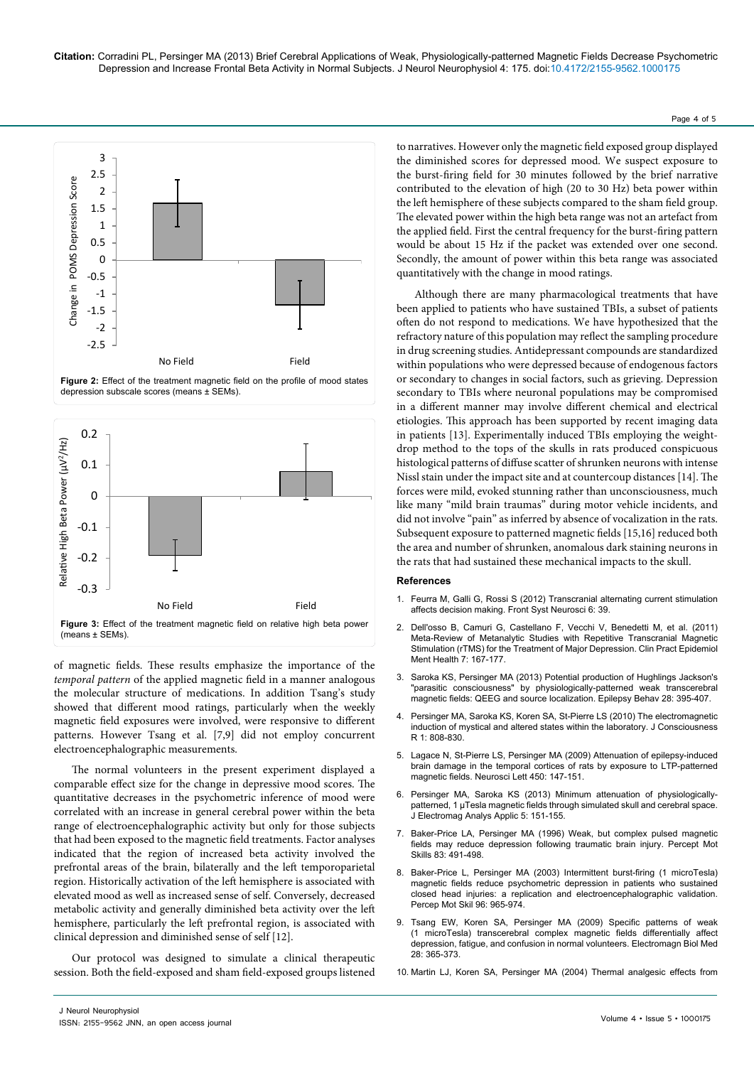to narratives. However only the magnetic field exposed group displayed the diminished scores for depressed mood. We suspect exposure to the burst-firing field for 30 minutes followed by the brief narrative contributed to the elevation of high (20 to 30 Hz) beta power within the left hemisphere of these subjects compared to the sham field group. The elevated power within the high beta range was not an artefact from the applied field. First the central frequency for the burst-firing pattern would be about 15 Hz if the packet was extended over one second. Secondly, the amount of power within this beta range was associated quantitatively with the change in mood ratings. Although there are many pharmacological treatments that have

been applied to patients who have sustained TBIs, a subset of patients often do not respond to medications. We have hypothesized that the refractory nature of this population may reflect the sampling procedure in drug screening studies. Antidepressant compounds are standardized within populations who were depressed because of endogenous factors or secondary to changes in social factors, such as grieving. Depression secondary to TBIs where neuronal populations may be compromised in a different manner may involve different chemical and electrical etiologies. This approach has been supported by recent imaging data in patients [13]. Experimentally induced TBIs employing the weightdrop method to the tops of the skulls in rats produced conspicuous histological patterns of diffuse scatter of shrunken neurons with intense Nissl stain under the impact site and at countercoup distances [14]. The forces were mild, evoked stunning rather than unconsciousness, much like many "mild brain traumas" during motor vehicle incidents, and did not involve "pain" as inferred by absence of vocalization in the rats. Subsequent exposure to patterned magnetic fields [15,16] reduced both the area and number of shrunken, anomalous dark staining neurons in the rats that had sustained these mechanical impacts to the skull.

#### **References**

- 1. [Feurra M, Galli G, Rossi S \(2012\) Transcranial alternating current stimulation](http://www.ncbi.nlm.nih.gov/pubmed/22654737)  [affects decision making. Front Syst Neurosci 6: 39.](http://www.ncbi.nlm.nih.gov/pubmed/22654737)
- 2. [Dell'osso B, Camuri G, Castellano F, Vecchi V, Benedetti M, et al. \(2011\)](http://www.ncbi.nlm.nih.gov/pubmed/22135698)  [Meta-Review of Metanalytic Studies with Repetitive Transcranial Magnetic](http://www.ncbi.nlm.nih.gov/pubmed/22135698)  [Stimulation \(rTMS\) for the Treatment of Major Depression. Clin Pract Epidemiol](http://www.ncbi.nlm.nih.gov/pubmed/22135698)  [Ment Health 7: 167-177.](http://www.ncbi.nlm.nih.gov/pubmed/22135698)
- 3. [Saroka KS, Persinger MA \(2013\) Potential production of Hughlings Jackson's](http://www.ncbi.nlm.nih.gov/pubmed/23872082)  ["parasitic consciousness" by physiologically-patterned weak transcerebral](http://www.ncbi.nlm.nih.gov/pubmed/23872082)  [magnetic fields: QEEG and source localization. Epilepsy Behav 28: 395-407.](http://www.ncbi.nlm.nih.gov/pubmed/23872082)
- 4. [Persinger MA, Saroka KS, Koren SA, St-Pierre LS \(2010\) The electromagnetic](http://www.jcer.com/index.php/jcj/article/view/100)  [induction of mystical and altered states within the laboratory. J Consciousness](http://www.jcer.com/index.php/jcj/article/view/100)   $R$  1: 808-830
- 5. [Lagace N, St-Pierre LS, Persinger MA \(2009\) Attenuation of epilepsy-induced](http://www.ncbi.nlm.nih.gov/pubmed/19022349)  [brain damage in the temporal cortices of rats by exposure to LTP-patterned](http://www.ncbi.nlm.nih.gov/pubmed/19022349)  [magnetic fields. Neurosci Lett 450: 147-151.](http://www.ncbi.nlm.nih.gov/pubmed/19022349)
- 6. [Persinger MA, Saroka KS \(2013\) Minimum attenuation of physiologically](http://www.scirp.org/journal/PaperInformation.aspx?paperID=29661)patterned, 1 µTesla magnetic fields through simulated skull and cerebral space. [J Electromag Analys Applic 5: 151-155.](http://www.scirp.org/journal/PaperInformation.aspx?paperID=29661)
- 7. [Baker-Price LA, Persinger MA \(1996\) Weak, but complex pulsed magnetic](http://www.ncbi.nlm.nih.gov/pubmed/8902023)  [fields may reduce depression following traumatic brain injury. Percept Mot](http://www.ncbi.nlm.nih.gov/pubmed/8902023)  [Skills 83: 491-498.](http://www.ncbi.nlm.nih.gov/pubmed/8902023)
- 8. [Baker-Price L, Persinger MA \(2003\) Intermittent burst-firing \(1 microTesla\)](http://www.ncbi.nlm.nih.gov/pubmed/12831278)  [magnetic fields reduce psychometric depression in patients who sustained](http://www.ncbi.nlm.nih.gov/pubmed/12831278)  [closed head injuries: a replication and electroencephalographic validation.](http://www.ncbi.nlm.nih.gov/pubmed/12831278)  [Percep Mot Skil 96: 965-974.](http://www.ncbi.nlm.nih.gov/pubmed/12831278)
- 9. [Tsang EW, Koren SA, Persinger MA \(2009\) Specific patterns of weak](http://www.ncbi.nlm.nih.gov/pubmed/20017627)  [\(1 microTesla\) transcerebral complex magnetic fields differentially affect](http://www.ncbi.nlm.nih.gov/pubmed/20017627)  [depression, fatigue, and confusion in normal volunteers. Electromagn Biol Med](http://www.ncbi.nlm.nih.gov/pubmed/20017627)  [28: 365-373.](http://www.ncbi.nlm.nih.gov/pubmed/20017627)
- 10. [Martin LJ, Koren SA, Persinger MA \(2004\) Thermal analgesic effects from](http://www.ncbi.nlm.nih.gov/pubmed/15219761)



0 0.5 1 1.5 2 2.5 3

 $-0.2$ 

-0.1

of magnetic fields. These results emphasize the importance of the *temporal pattern* of the applied magnetic field in a manner analogous the molecular structure of medications. In addition Tsang's study showed that different mood ratings, particularly when the weekly magnetic field exposures were involved, were responsive to different patterns. However Tsang et al. [7,9] did not employ concurrent -0.3 No Field Field **Figure 3:** Effect of the treatment magnetic field on relative high beta power (means ± SEMs).

The normal volunteers in the present experiment displayed a comparable effect size for the change in depressive mood scores. The quantitative decreases in the psychometric inference of mood were correlated with an increase in general cerebral power within the beta range of electroencephalographic activity but only for those subjects that had been exposed to the magnetic field treatments. Factor analyses indicated that the region of increased beta activity involved the prefrontal areas of the brain, bilaterally and the left temporoparietal region. Historically activation of the left hemisphere is associated with elevated mood as well as increased sense of self. Conversely, decreased metabolic activity and generally diminished beta activity over the left hemisphere, particularly the left prefrontal region, is associated with clinical depression and diminished sense of self [12].

Our protocol was designed to simulate a clinical therapeutic session. Both the field-exposed and sham field-exposed groups listened

electroencephalographic measurements.

Page 4 of 5